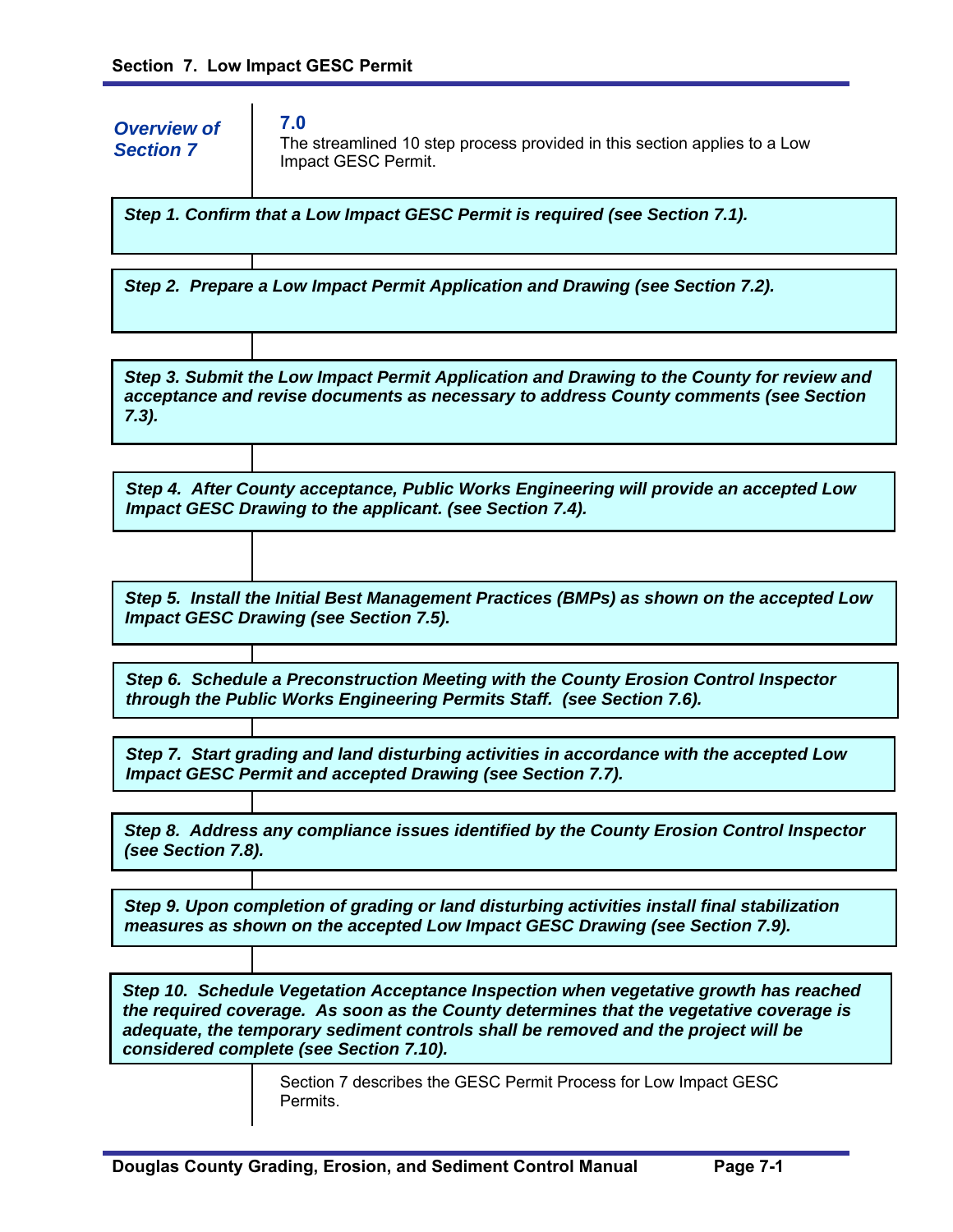*Step 1. Confirm that a Low Impact GESC Permit is required (see Section 7.1). Step 2. Prepare a Low Impact Permit Application and Drawing (see Section 7.2). Step 3. Submit the Low Impact Permit Application and Drawing to the County for review and acceptance and revise documents as necessary to address County comments (see Section 7.3). Step 4. After County acceptance, Public Works Engineering will provide an accepted Low Impact GESC Drawing to the applicant. (see Section 7.4). Step 5. Install the Initial Best Management Practices (BMPs) as shown on the accepted Low Impact GESC Drawing (see Section 7.5). Step 6. Schedule a Preconstruction Meeting with the County Erosion Control Inspector through the Public Works Engineering Permits Staff. (see Section 7.6). Step 7. Start grading and land disturbing activities in accordance with the accepted Low Impact GESC Permit and accepted Drawing (see Section 7.7). Step 8. Address any compliance issues identified by the County Erosion Control Inspector (see Section 7.8). Step 9. Upon completion of grading or land disturbing activities install final stabilization measures as shown on the accepted Low Impact GESC Drawing (see Section 7.9). Step 10. Schedule Vegetation Acceptance Inspection when vegetative growth has reached the required coverage. As soon as the County determines that the vegetative coverage is adequate, the temporary sediment controls shall be removed and the project will be considered complete (see Section 7.10).* **7.0**  The streamlined 10 step process provided in this section applies to a Low Impact GESC Permit. Section 7 describes the GESC Permit Process for Low Impact GESC Permits. *Overview of Section 7*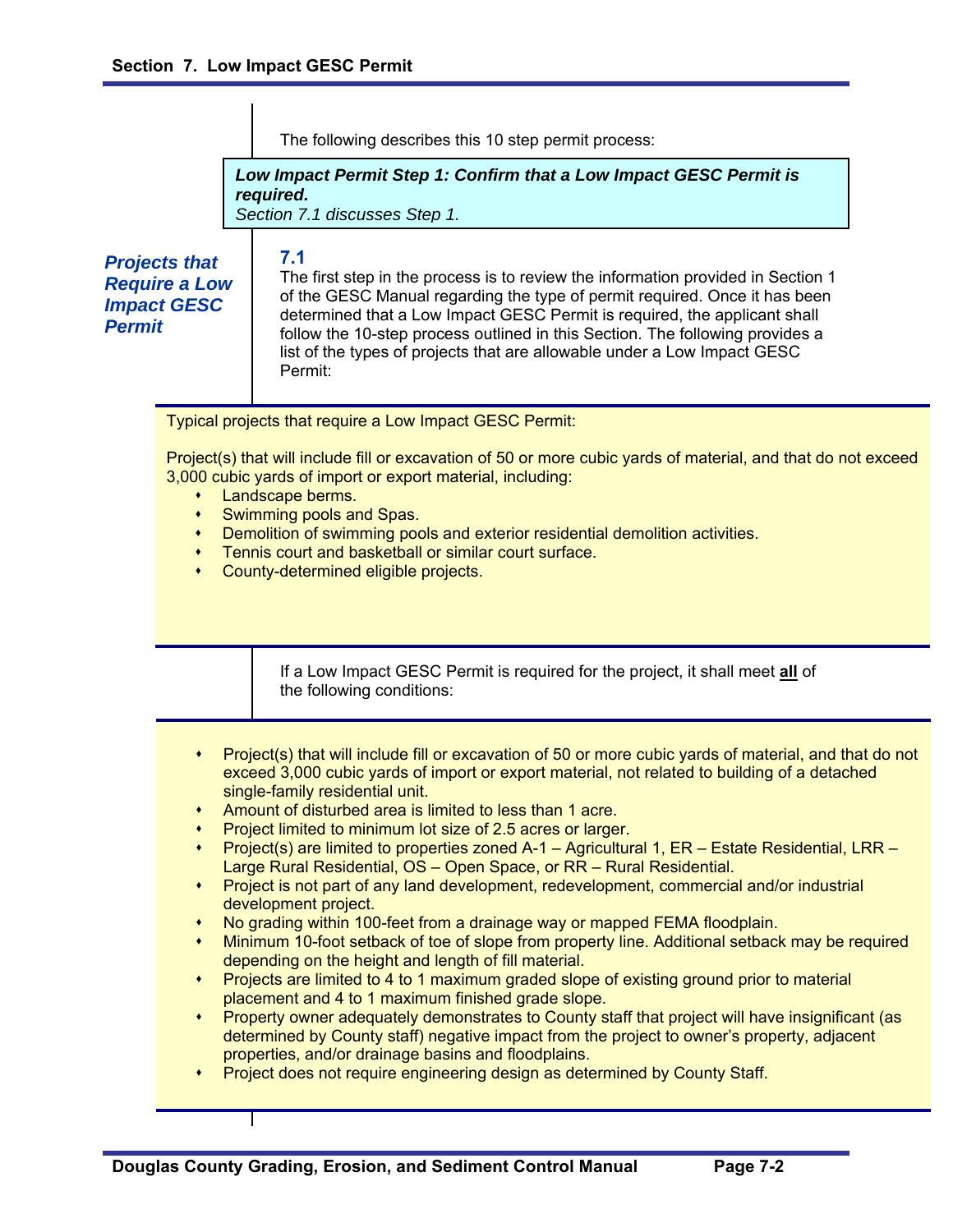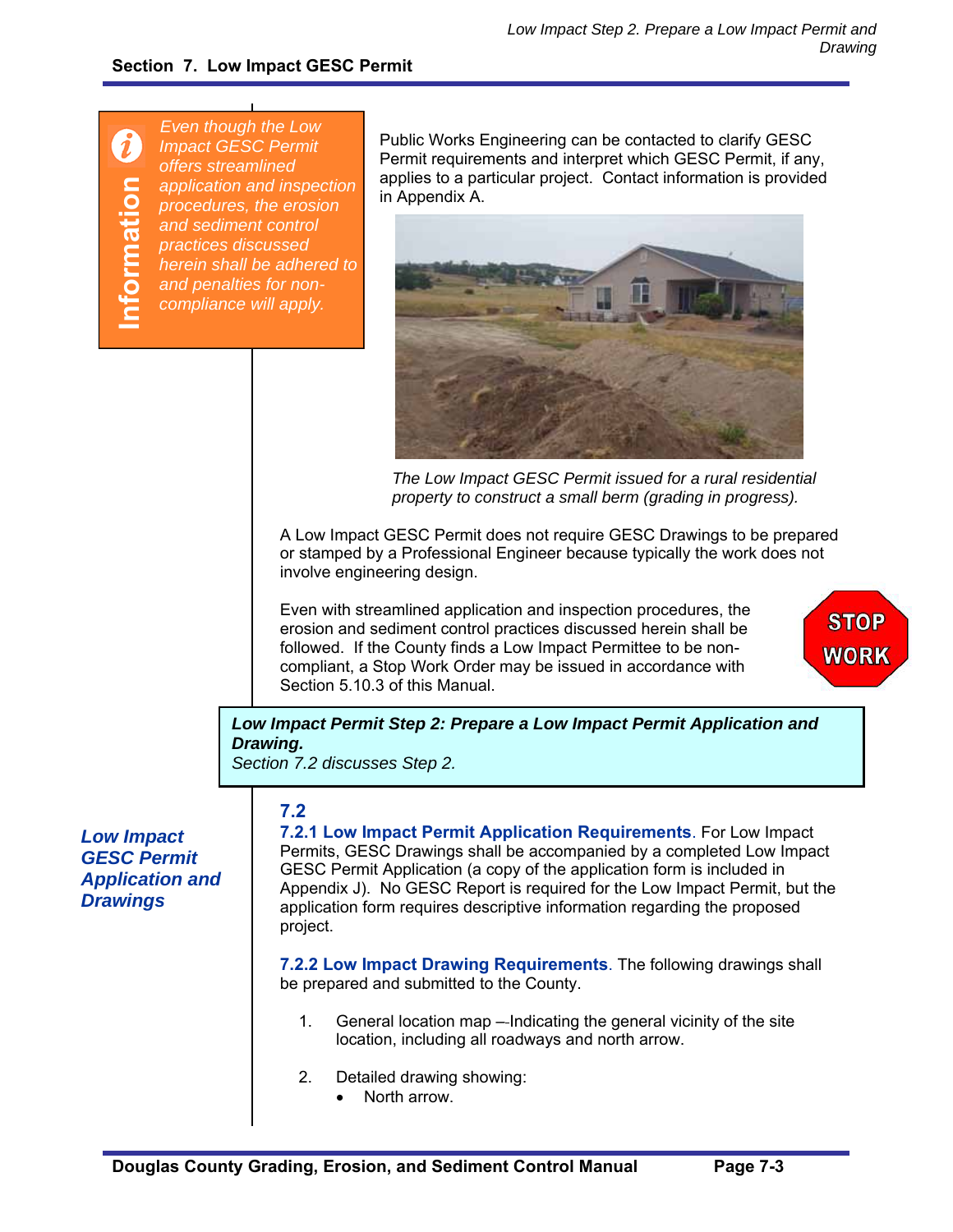$\boldsymbol{\theta}$ **Information**  formation

*Even though the Low Impact GESC Permit offers streamlined application and inspection procedures, the erosion and sediment control practices discussed herein shall be adhered to and penalties for noncompliance will apply.* 

Public Works Engineering can be contacted to clarify GESC Permit requirements and interpret which GESC Permit, if any, applies to a particular project. Contact information is provided in Appendix A.



*The Low Impact GESC Permit issued for a rural residential property to construct a small berm (grading in progress).*

A Low Impact GESC Permit does not require GESC Drawings to be prepared or stamped by a Professional Engineer because typically the work does not involve engineering design.

Even with streamlined application and inspection procedures, the erosion and sediment control practices discussed herein shall be followed. If the County finds a Low Impact Permittee to be noncompliant, a Stop Work Order may be issued in accordance with Section 5.10.3 of this Manual.



*Low Impact Permit Step 2: Prepare a Low Impact Permit Application and Drawing.* 

*Section 7.2 discusses Step 2.* 

## *Low Impact GESC Permit Application and Drawings*

## **7.2**

**7.2.1 Low Impact Permit Application Requirements**. For Low Impact Permits, GESC Drawings shall be accompanied by a completed Low Impact GESC Permit Application (a copy of the application form is included in Appendix J). No GESC Report is required for the Low Impact Permit, but the application form requires descriptive information regarding the proposed project.

**7.2.2 Low Impact Drawing Requirements**. The following drawings shall be prepared and submitted to the County.

- 1. General location map Indicating the general vicinity of the site location, including all roadways and north arrow.
- 2. Detailed drawing showing:
	- North arrow.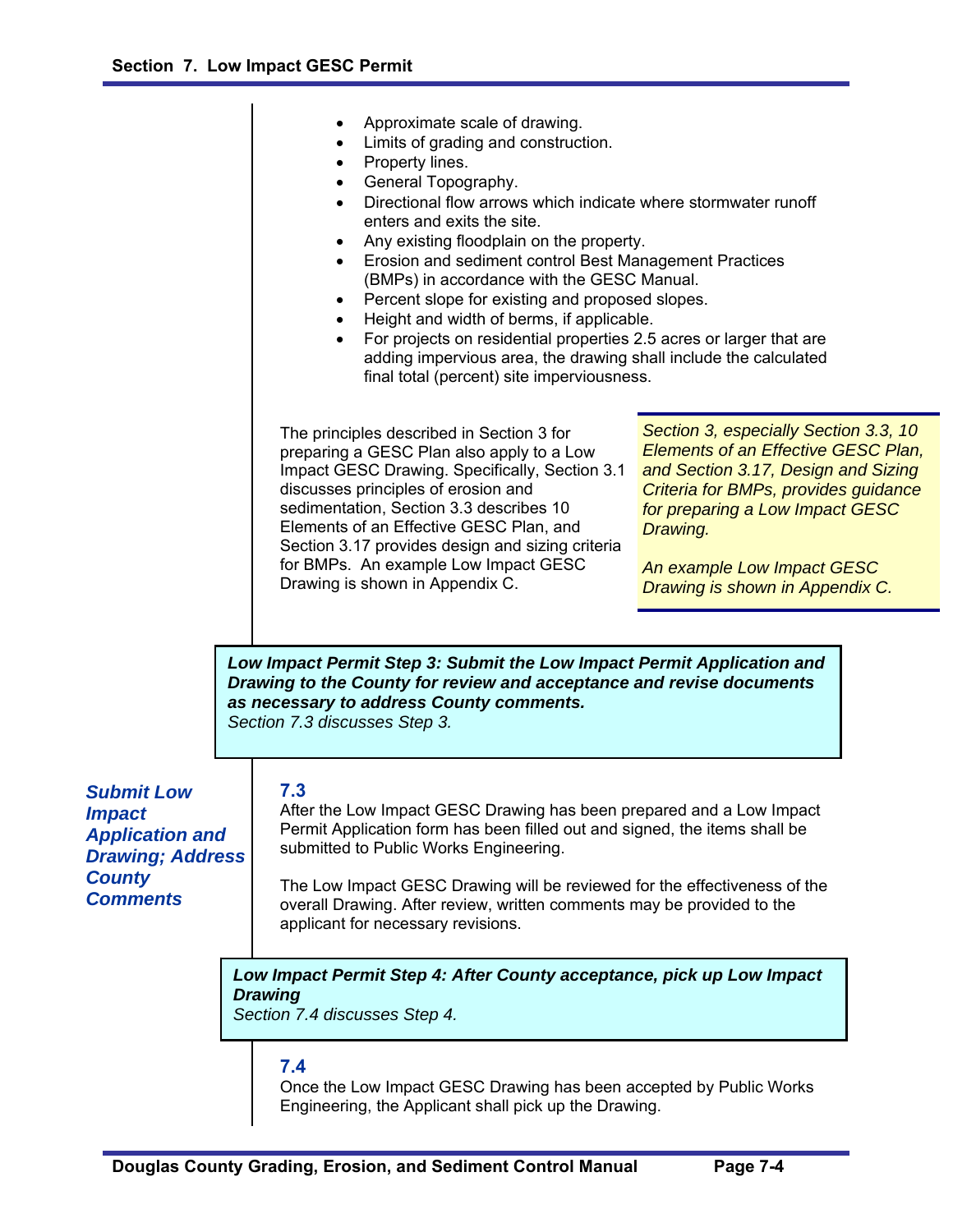|                                                                                                                                                                                                                                                                                                                                                                                                                                                                                                                                                                                           |  | Approximate scale of drawing.<br>Limits of grading and construction.<br>Property lines.<br>General Topography.<br>Directional flow arrows which indicate where stormwater runoff<br>enters and exits the site.<br>Any existing floodplain on the property.<br>Erosion and sediment control Best Management Practices<br>(BMPs) in accordance with the GESC Manual.<br>Percent slope for existing and proposed slopes.<br>$\bullet$<br>Height and width of berms, if applicable.<br>For projects on residential properties 2.5 acres or larger that are<br>$\bullet$<br>adding impervious area, the drawing shall include the calculated<br>final total (percent) site imperviousness. |                                                                                                                                                                                                                                                                             |
|-------------------------------------------------------------------------------------------------------------------------------------------------------------------------------------------------------------------------------------------------------------------------------------------------------------------------------------------------------------------------------------------------------------------------------------------------------------------------------------------------------------------------------------------------------------------------------------------|--|---------------------------------------------------------------------------------------------------------------------------------------------------------------------------------------------------------------------------------------------------------------------------------------------------------------------------------------------------------------------------------------------------------------------------------------------------------------------------------------------------------------------------------------------------------------------------------------------------------------------------------------------------------------------------------------|-----------------------------------------------------------------------------------------------------------------------------------------------------------------------------------------------------------------------------------------------------------------------------|
|                                                                                                                                                                                                                                                                                                                                                                                                                                                                                                                                                                                           |  | The principles described in Section 3 for<br>preparing a GESC Plan also apply to a Low<br>Impact GESC Drawing. Specifically, Section 3.1<br>discusses principles of erosion and<br>sedimentation, Section 3.3 describes 10<br>Elements of an Effective GESC Plan, and<br>Section 3.17 provides design and sizing criteria<br>for BMPs. An example Low Impact GESC<br>Drawing is shown in Appendix C.                                                                                                                                                                                                                                                                                  | Section 3, especially Section 3.3, 10<br>Elements of an Effective GESC Plan,<br>and Section 3.17, Design and Sizing<br>Criteria for BMPs, provides guidance<br>for preparing a Low Impact GESC<br>Drawing.<br>An example Low Impact GESC<br>Drawing is shown in Appendix C. |
|                                                                                                                                                                                                                                                                                                                                                                                                                                                                                                                                                                                           |  | Low Impact Permit Step 3: Submit the Low Impact Permit Application and<br>Drawing to the County for review and acceptance and revise documents<br>as necessary to address County comments.<br>Section 7.3 discusses Step 3.                                                                                                                                                                                                                                                                                                                                                                                                                                                           |                                                                                                                                                                                                                                                                             |
| 7.3<br><b>Submit Low</b><br>After the Low Impact GESC Drawing has been prepared and a Low Impact<br><i><b>Impact</b></i><br>Permit Application form has been filled out and signed, the items shall be<br><b>Application and</b><br>submitted to Public Works Engineering.<br><b>Drawing; Address</b><br><b>County</b><br>The Low Impact GESC Drawing will be reviewed for the effectiveness of the<br><b>Comments</b><br>overall Drawing. After review, written comments may be provided to the<br>applicant for necessary revisions.<br><b>Drawing</b><br>Section 7.4 discusses Step 4. |  |                                                                                                                                                                                                                                                                                                                                                                                                                                                                                                                                                                                                                                                                                       |                                                                                                                                                                                                                                                                             |
|                                                                                                                                                                                                                                                                                                                                                                                                                                                                                                                                                                                           |  | Low Impact Permit Step 4: After County acceptance, pick up Low Impact                                                                                                                                                                                                                                                                                                                                                                                                                                                                                                                                                                                                                 |                                                                                                                                                                                                                                                                             |
|                                                                                                                                                                                                                                                                                                                                                                                                                                                                                                                                                                                           |  | 7.4<br>Once the Low Impact GESC Drawing has been accepted by Public Works<br>Engineering, the Applicant shall pick up the Drawing.                                                                                                                                                                                                                                                                                                                                                                                                                                                                                                                                                    |                                                                                                                                                                                                                                                                             |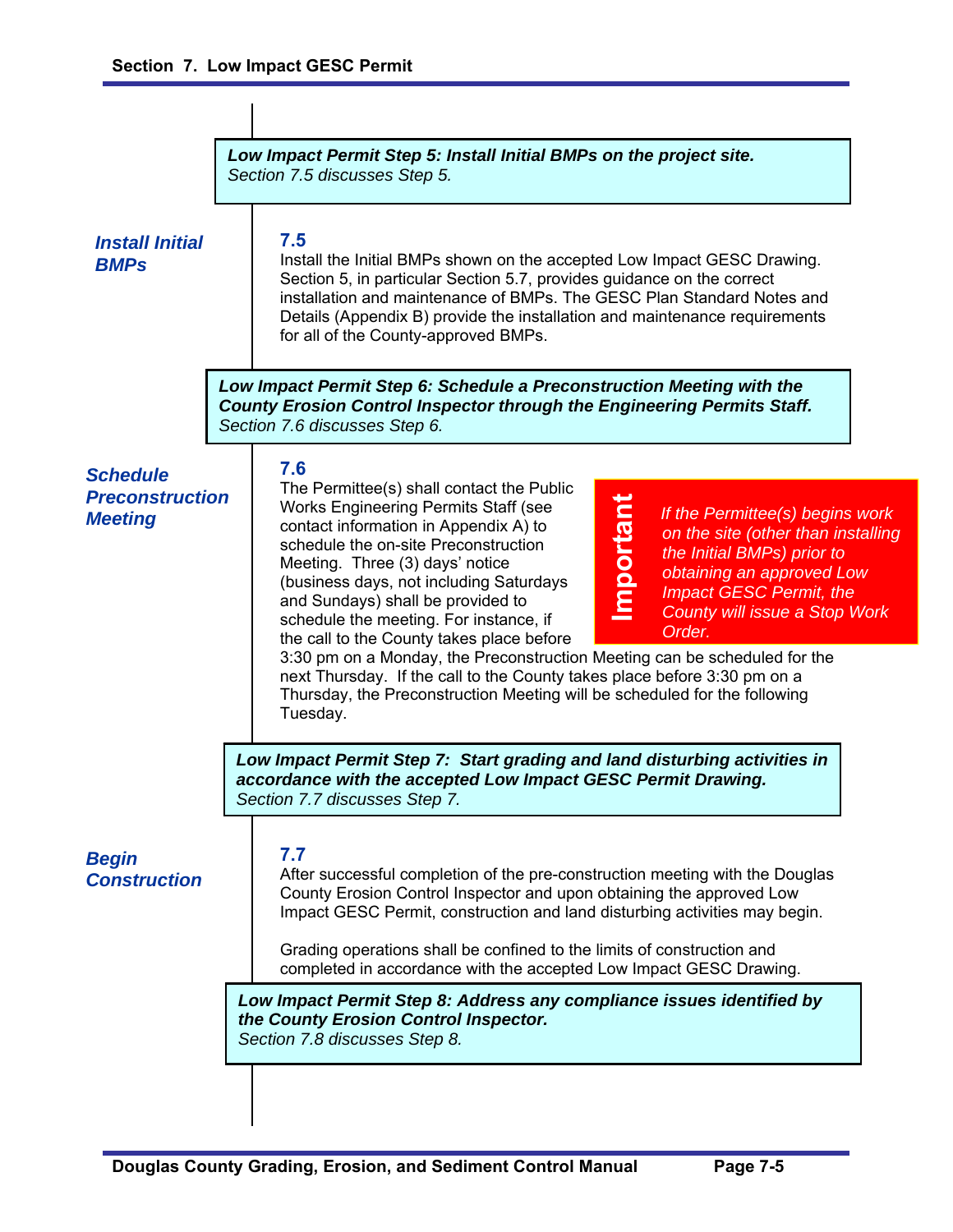|                                                             |  | Low Impact Permit Step 5: Install Initial BMPs on the project site.<br>Section 7.5 discusses Step 5.                                                                                                                                                                                                                                                                                                                                                                                                                                                                                                                                                                                                                                                                                                                                                                       |  |
|-------------------------------------------------------------|--|----------------------------------------------------------------------------------------------------------------------------------------------------------------------------------------------------------------------------------------------------------------------------------------------------------------------------------------------------------------------------------------------------------------------------------------------------------------------------------------------------------------------------------------------------------------------------------------------------------------------------------------------------------------------------------------------------------------------------------------------------------------------------------------------------------------------------------------------------------------------------|--|
| <b>Install Initial</b><br><b>BMPs</b>                       |  | 7.5<br>Install the Initial BMPs shown on the accepted Low Impact GESC Drawing.<br>Section 5, in particular Section 5.7, provides guidance on the correct<br>installation and maintenance of BMPs. The GESC Plan Standard Notes and<br>Details (Appendix B) provide the installation and maintenance requirements<br>for all of the County-approved BMPs.                                                                                                                                                                                                                                                                                                                                                                                                                                                                                                                   |  |
|                                                             |  | Low Impact Permit Step 6: Schedule a Preconstruction Meeting with the<br><b>County Erosion Control Inspector through the Engineering Permits Staff.</b><br>Section 7.6 discusses Step 6.                                                                                                                                                                                                                                                                                                                                                                                                                                                                                                                                                                                                                                                                                   |  |
| <b>Schedule</b><br><b>Preconstruction</b><br><b>Meeting</b> |  | 7.6<br>The Permittee(s) shall contact the Public<br><b>Important</b><br>Works Engineering Permits Staff (see<br>If the Permittee(s) begins work<br>contact information in Appendix A) to<br>on the site (other than installing<br>schedule the on-site Preconstruction<br>the Initial BMPs) prior to<br>Meeting. Three (3) days' notice<br>obtaining an approved Low<br>(business days, not including Saturdays<br><b>Impact GESC Permit, the</b><br>and Sundays) shall be provided to<br>County will issue a Stop Work<br>schedule the meeting. For instance, if<br>Order.<br>the call to the County takes place before<br>3:30 pm on a Monday, the Preconstruction Meeting can be scheduled for the<br>next Thursday. If the call to the County takes place before 3:30 pm on a<br>Thursday, the Preconstruction Meeting will be scheduled for the following<br>Tuesday. |  |
|                                                             |  | Low Impact Permit Step 7: Start grading and land disturbing activities in<br>accordance with the accepted Low Impact GESC Permit Drawing.<br>Section 7.7 discusses Step 7.                                                                                                                                                                                                                                                                                                                                                                                                                                                                                                                                                                                                                                                                                                 |  |
| <b>Begin</b><br><b>Construction</b>                         |  | 7.7<br>After successful completion of the pre-construction meeting with the Douglas<br>County Erosion Control Inspector and upon obtaining the approved Low<br>Impact GESC Permit, construction and land disturbing activities may begin.<br>Grading operations shall be confined to the limits of construction and<br>completed in accordance with the accepted Low Impact GESC Drawing.                                                                                                                                                                                                                                                                                                                                                                                                                                                                                  |  |
|                                                             |  | Low Impact Permit Step 8: Address any compliance issues identified by<br>the County Erosion Control Inspector.<br>Section 7.8 discusses Step 8.                                                                                                                                                                                                                                                                                                                                                                                                                                                                                                                                                                                                                                                                                                                            |  |
|                                                             |  |                                                                                                                                                                                                                                                                                                                                                                                                                                                                                                                                                                                                                                                                                                                                                                                                                                                                            |  |